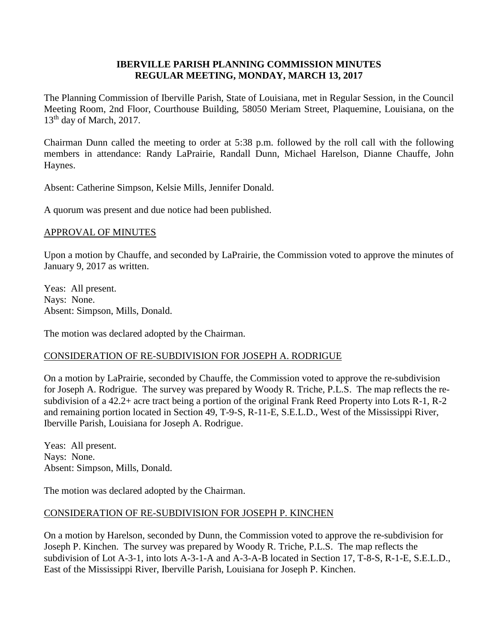## **IBERVILLE PARISH PLANNING COMMISSION MINUTES REGULAR MEETING, MONDAY, MARCH 13, 2017**

The Planning Commission of Iberville Parish, State of Louisiana, met in Regular Session, in the Council Meeting Room, 2nd Floor, Courthouse Building, 58050 Meriam Street, Plaquemine, Louisiana, on the 13<sup>th</sup> day of March, 2017.

Chairman Dunn called the meeting to order at 5:38 p.m. followed by the roll call with the following members in attendance: Randy LaPrairie, Randall Dunn, Michael Harelson, Dianne Chauffe, John Haynes.

Absent: Catherine Simpson, Kelsie Mills, Jennifer Donald.

A quorum was present and due notice had been published.

## APPROVAL OF MINUTES

Upon a motion by Chauffe, and seconded by LaPrairie, the Commission voted to approve the minutes of January 9, 2017 as written.

Yeas: All present. Nays: None. Absent: Simpson, Mills, Donald.

The motion was declared adopted by the Chairman.

# CONSIDERATION OF RE-SUBDIVISION FOR JOSEPH A. RODRIGUE

On a motion by LaPrairie, seconded by Chauffe, the Commission voted to approve the re-subdivision for Joseph A. Rodrigue. The survey was prepared by Woody R. Triche, P.L.S. The map reflects the resubdivision of a 42.2+ acre tract being a portion of the original Frank Reed Property into Lots R-1, R-2 and remaining portion located in Section 49, T-9-S, R-11-E, S.E.L.D., West of the Mississippi River, Iberville Parish, Louisiana for Joseph A. Rodrigue.

Yeas: All present. Nays: None. Absent: Simpson, Mills, Donald.

The motion was declared adopted by the Chairman.

# CONSIDERATION OF RE-SUBDIVISION FOR JOSEPH P. KINCHEN

On a motion by Harelson, seconded by Dunn, the Commission voted to approve the re-subdivision for Joseph P. Kinchen. The survey was prepared by Woody R. Triche, P.L.S. The map reflects the subdivision of Lot A-3-1, into lots A-3-1-A and A-3-A-B located in Section 17, T-8-S, R-1-E, S.E.L.D., East of the Mississippi River, Iberville Parish, Louisiana for Joseph P. Kinchen.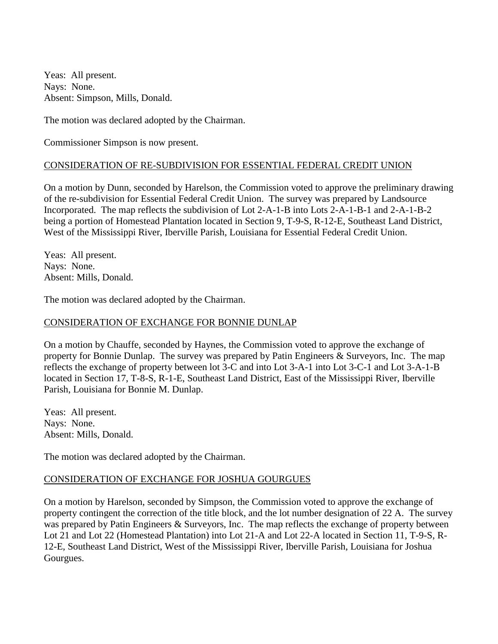Yeas: All present. Nays: None. Absent: Simpson, Mills, Donald.

The motion was declared adopted by the Chairman.

Commissioner Simpson is now present.

## CONSIDERATION OF RE-SUBDIVISION FOR ESSENTIAL FEDERAL CREDIT UNION

On a motion by Dunn, seconded by Harelson, the Commission voted to approve the preliminary drawing of the re-subdivision for Essential Federal Credit Union. The survey was prepared by Landsource Incorporated. The map reflects the subdivision of Lot 2-A-1-B into Lots 2-A-1-B-1 and 2-A-1-B-2 being a portion of Homestead Plantation located in Section 9, T-9-S, R-12-E, Southeast Land District, West of the Mississippi River, Iberville Parish, Louisiana for Essential Federal Credit Union.

Yeas: All present. Nays: None. Absent: Mills, Donald.

The motion was declared adopted by the Chairman.

#### CONSIDERATION OF EXCHANGE FOR BONNIE DUNLAP

On a motion by Chauffe, seconded by Haynes, the Commission voted to approve the exchange of property for Bonnie Dunlap. The survey was prepared by Patin Engineers & Surveyors, Inc. The map reflects the exchange of property between lot 3-C and into Lot 3-A-1 into Lot 3-C-1 and Lot 3-A-1-B located in Section 17, T-8-S, R-1-E, Southeast Land District, East of the Mississippi River, Iberville Parish, Louisiana for Bonnie M. Dunlap.

Yeas: All present. Nays: None. Absent: Mills, Donald.

The motion was declared adopted by the Chairman.

#### CONSIDERATION OF EXCHANGE FOR JOSHUA GOURGUES

On a motion by Harelson, seconded by Simpson, the Commission voted to approve the exchange of property contingent the correction of the title block, and the lot number designation of 22 A. The survey was prepared by Patin Engineers & Surveyors, Inc. The map reflects the exchange of property between Lot 21 and Lot 22 (Homestead Plantation) into Lot 21-A and Lot 22-A located in Section 11, T-9-S, R-12-E, Southeast Land District, West of the Mississippi River, Iberville Parish, Louisiana for Joshua Gourgues.